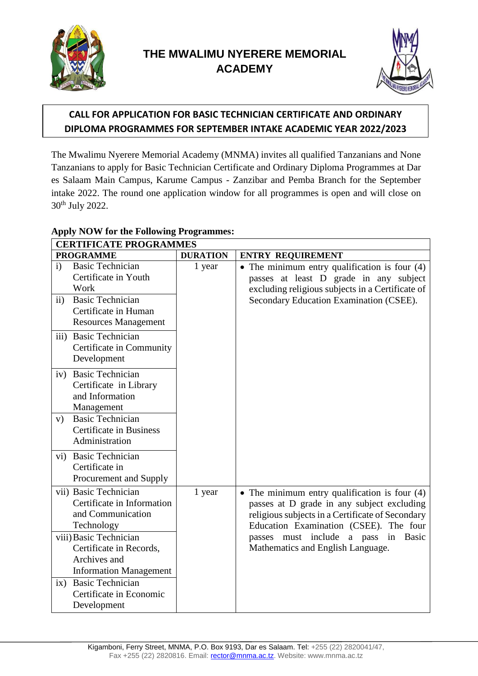



# *:* **CALL FOR APPLICATION FOR BASIC TECHNICIAN CERTIFICATE AND ORDINARY DIPLOMA PROGRAMMES FOR SEPTEMBER INTAKE ACADEMIC YEAR 2022/2023**

The Mwalimu Nyerere Memorial Academy (MNMA) invites all qualified Tanzanians and None Tanzanians to apply for Basic Technician Certificate and Ordinary Diploma Programmes at Dar es Salaam Main Campus, Karume Campus - Zanzibar and Pemba Branch for the September intake 2022. The round one application window for all programmes is open and will close on 30th July 2022.

| <b>CERTIFICATE PROGRAMMES</b> |                                                                                                                                                                                                               |                 |                                                                                                                                                                                                                                                                                               |  |  |  |
|-------------------------------|---------------------------------------------------------------------------------------------------------------------------------------------------------------------------------------------------------------|-----------------|-----------------------------------------------------------------------------------------------------------------------------------------------------------------------------------------------------------------------------------------------------------------------------------------------|--|--|--|
|                               | <b>PROGRAMME</b>                                                                                                                                                                                              | <b>DURATION</b> | <b>ENTRY REQUIREMENT</b>                                                                                                                                                                                                                                                                      |  |  |  |
| $\mathbf{i}$<br>$\mathbf{ii}$ | <b>Basic Technician</b><br>Certificate in Youth<br>Work<br><b>Basic Technician</b><br>Certificate in Human<br><b>Resources Management</b><br>iii) Basic Technician<br>Certificate in Community<br>Development | 1 year          | • The minimum entry qualification is four $(4)$<br>passes at least D grade in any subject<br>excluding religious subjects in a Certificate of<br>Secondary Education Examination (CSEE).                                                                                                      |  |  |  |
| iv)<br>V)<br>vi)              | <b>Basic Technician</b><br>Certificate in Library<br>and Information<br>Management<br><b>Basic Technician</b><br><b>Certificate in Business</b><br>Administration<br><b>Basic Technician</b>                  |                 |                                                                                                                                                                                                                                                                                               |  |  |  |
|                               | Certificate in<br>Procurement and Supply                                                                                                                                                                      |                 |                                                                                                                                                                                                                                                                                               |  |  |  |
|                               | vii) Basic Technician<br>Certificate in Information<br>and Communication<br>Technology<br>viii) Basic Technician<br>Certificate in Records,                                                                   | 1 year          | $\bullet$ The minimum entry qualification is four (4)<br>passes at D grade in any subject excluding<br>religious subjects in a Certificate of Secondary<br>Education Examination (CSEE). The four<br>include a pass in<br><b>Basic</b><br>must<br>passes<br>Mathematics and English Language. |  |  |  |
| ix)                           | Archives and<br><b>Information Management</b><br><b>Basic Technician</b><br>Certificate in Economic<br>Development                                                                                            |                 |                                                                                                                                                                                                                                                                                               |  |  |  |

## **Apply NOW for the Following Programmes:**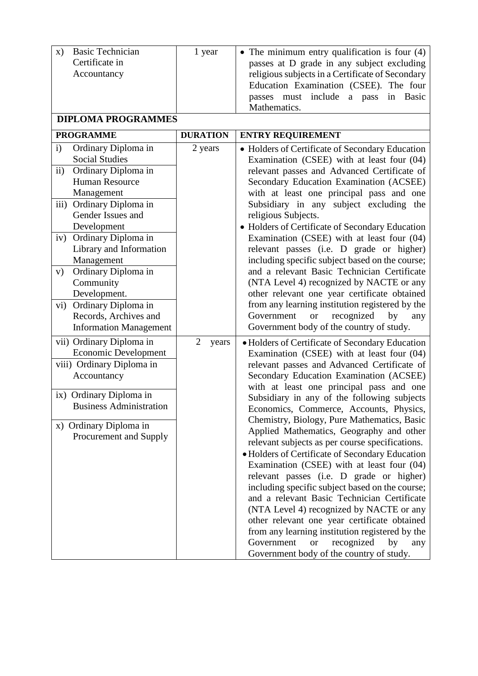| <b>Basic Technician</b><br>$\mathbf{x})$<br>Certificate in<br>Accountancy                                                                                                                                                                                                                                                                                                                                                                                                       | 1 year                                                | • The minimum entry qualification is four $(4)$<br>passes at D grade in any subject excluding<br>religious subjects in a Certificate of Secondary<br>Education Examination (CSEE). The four<br>passes must include a pass<br>in Basic<br>Mathematics.                                                                                                                                                                                                                                                                                                                                                                                                                                                                                                                                                                                                                                                                    |  |  |  |
|---------------------------------------------------------------------------------------------------------------------------------------------------------------------------------------------------------------------------------------------------------------------------------------------------------------------------------------------------------------------------------------------------------------------------------------------------------------------------------|-------------------------------------------------------|--------------------------------------------------------------------------------------------------------------------------------------------------------------------------------------------------------------------------------------------------------------------------------------------------------------------------------------------------------------------------------------------------------------------------------------------------------------------------------------------------------------------------------------------------------------------------------------------------------------------------------------------------------------------------------------------------------------------------------------------------------------------------------------------------------------------------------------------------------------------------------------------------------------------------|--|--|--|
| <b>DIPLOMA PROGRAMMES</b>                                                                                                                                                                                                                                                                                                                                                                                                                                                       |                                                       |                                                                                                                                                                                                                                                                                                                                                                                                                                                                                                                                                                                                                                                                                                                                                                                                                                                                                                                          |  |  |  |
| <b>PROGRAMME</b><br>i)<br>Ordinary Diploma in<br><b>Social Studies</b><br>ii)<br>Ordinary Diploma in<br><b>Human Resource</b><br>Management<br>Ordinary Diploma in<br>iii)<br>Gender Issues and<br>Development<br>Ordinary Diploma in<br>iv)<br>Library and Information<br>Management<br>Ordinary Diploma in<br>V)<br>Community<br>Development.<br>Ordinary Diploma in<br>$\mathbf{v}$ i)<br>Records, Archives and<br><b>Information Management</b><br>vii) Ordinary Diploma in | <b>DURATION</b><br>2 years<br>$\overline{2}$<br>years | <b>ENTRY REQUIREMENT</b><br>• Holders of Certificate of Secondary Education<br>Examination (CSEE) with at least four (04)<br>relevant passes and Advanced Certificate of<br>Secondary Education Examination (ACSEE)<br>with at least one principal pass and one<br>Subsidiary in any subject excluding the<br>religious Subjects.<br>• Holders of Certificate of Secondary Education<br>Examination (CSEE) with at least four (04)<br>relevant passes (i.e. D grade or higher)<br>including specific subject based on the course;<br>and a relevant Basic Technician Certificate<br>(NTA Level 4) recognized by NACTE or any<br>other relevant one year certificate obtained<br>from any learning institution registered by the<br>Government<br>recognized<br>by<br><b>or</b><br>any<br>Government body of the country of study.<br>• Holders of Certificate of Secondary Education                                     |  |  |  |
| <b>Economic Development</b><br>viii) Ordinary Diploma in<br>Accountancy<br>ix) Ordinary Diploma in<br><b>Business Administration</b><br>x) Ordinary Diploma in<br>Procurement and Supply                                                                                                                                                                                                                                                                                        |                                                       | Examination (CSEE) with at least four (04)<br>relevant passes and Advanced Certificate of<br>Secondary Education Examination (ACSEE)<br>with at least one principal pass and one<br>Subsidiary in any of the following subjects<br>Economics, Commerce, Accounts, Physics,<br>Chemistry, Biology, Pure Mathematics, Basic<br>Applied Mathematics, Geography and other<br>relevant subjects as per course specifications.<br>· Holders of Certificate of Secondary Education<br>Examination (CSEE) with at least four (04)<br>relevant passes (i.e. D grade or higher)<br>including specific subject based on the course;<br>and a relevant Basic Technician Certificate<br>(NTA Level 4) recognized by NACTE or any<br>other relevant one year certificate obtained<br>from any learning institution registered by the<br>Government<br>recognized<br>by<br><b>or</b><br>any<br>Government body of the country of study. |  |  |  |